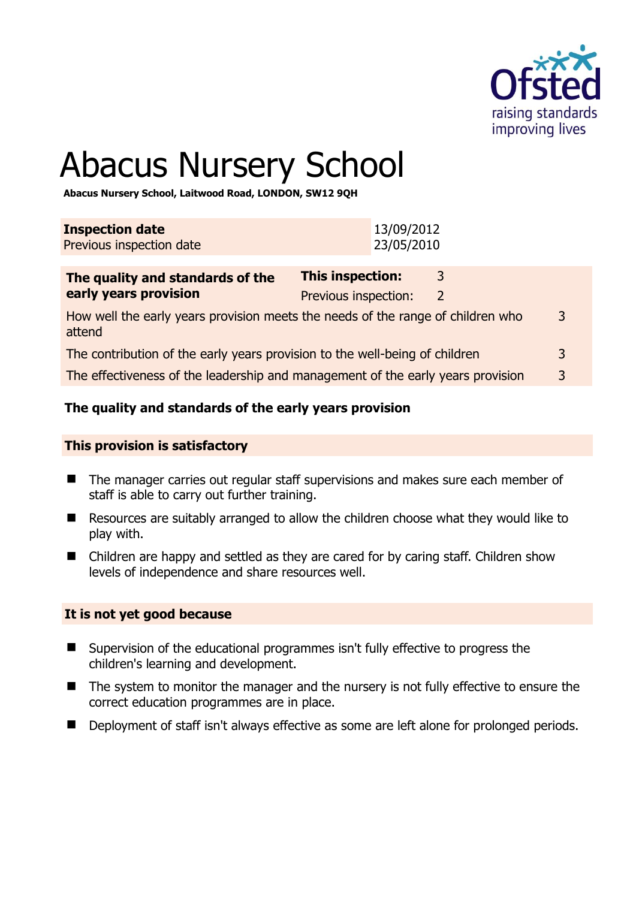

3

# Abacus Nursery School

**Abacus Nursery School, Laitwood Road, LONDON, SW12 9QH** 

| <b>Inspection date</b><br>Previous inspection date                              |                                                 | 13/09/2012<br>23/05/2010 |                   |  |
|---------------------------------------------------------------------------------|-------------------------------------------------|--------------------------|-------------------|--|
| The quality and standards of the<br>early years provision                       | <b>This inspection:</b><br>Previous inspection: |                          | <sup>3</sup><br>2 |  |
| How well the early years provision meets the needs of the range of children who |                                                 |                          |                   |  |

attend The contribution of the early years provision to the well-being of children 3

The effectiveness of the leadership and management of the early years provision 3

#### **The quality and standards of the early years provision**

#### **This provision is satisfactory**

- The manager carries out regular staff supervisions and makes sure each member of staff is able to carry out further training.
- Resources are suitably arranged to allow the children choose what they would like to play with.
- Children are happy and settled as they are cared for by caring staff. Children show levels of independence and share resources well.

#### **It is not yet good because**

- Supervision of the educational programmes isn't fully effective to progress the children's learning and development.
- The system to monitor the manager and the nursery is not fully effective to ensure the correct education programmes are in place.
- Deployment of staff isn't always effective as some are left alone for prolonged periods.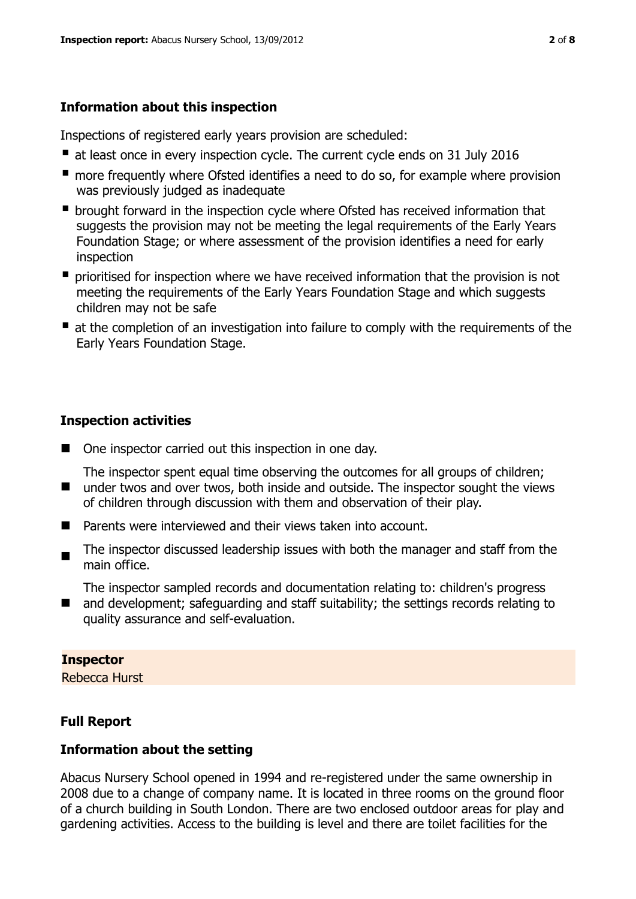# **Information about this inspection**

Inspections of registered early years provision are scheduled:

- at least once in every inspection cycle. The current cycle ends on 31 July 2016
- **n** more frequently where Ofsted identifies a need to do so, for example where provision was previously judged as inadequate
- **•** brought forward in the inspection cycle where Ofsted has received information that suggests the provision may not be meeting the legal requirements of the Early Years Foundation Stage; or where assessment of the provision identifies a need for early inspection
- **P** prioritised for inspection where we have received information that the provision is not meeting the requirements of the Early Years Foundation Stage and which suggests children may not be safe
- at the completion of an investigation into failure to comply with the requirements of the Early Years Foundation Stage.

# **Inspection activities**

■ One inspector carried out this inspection in one day.

The inspector spent equal time observing the outcomes for all groups of children;

- under twos and over twos, both inside and outside. The inspector sought the views of children through discussion with them and observation of their play.
- **Parents were interviewed and their views taken into account.**
- $\blacksquare$ The inspector discussed leadership issues with both the manager and staff from the main office.

The inspector sampled records and documentation relating to: children's progress

 $\blacksquare$ and development; safeguarding and staff suitability; the settings records relating to quality assurance and self-evaluation.

## **Inspector**

Rebecca Hurst

# **Full Report**

## **Information about the setting**

Abacus Nursery School opened in 1994 and re-registered under the same ownership in 2008 due to a change of company name. It is located in three rooms on the ground floor of a church building in South London. There are two enclosed outdoor areas for play and gardening activities. Access to the building is level and there are toilet facilities for the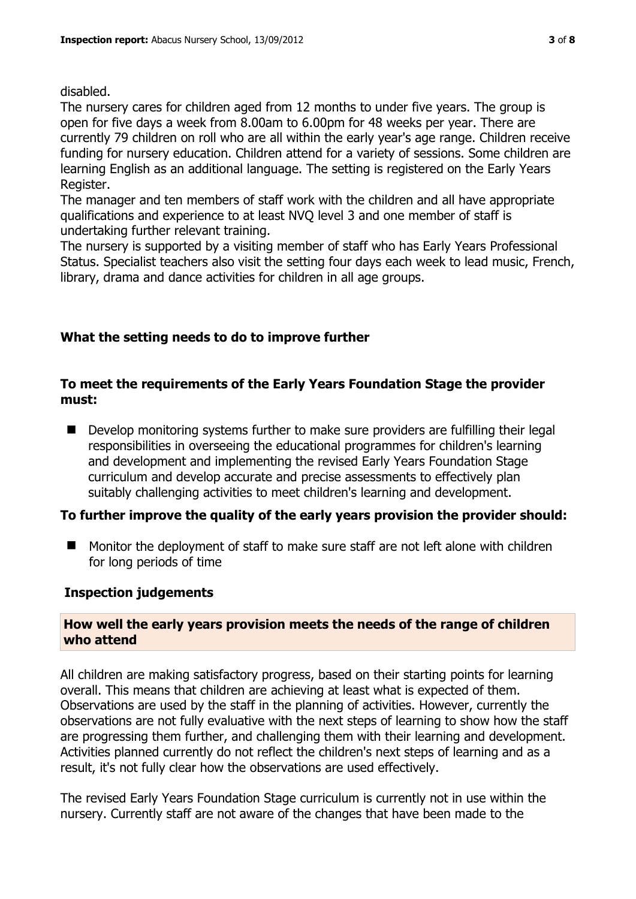#### disabled.

The nursery cares for children aged from 12 months to under five years. The group is open for five days a week from 8.00am to 6.00pm for 48 weeks per year. There are currently 79 children on roll who are all within the early year's age range. Children receive funding for nursery education. Children attend for a variety of sessions. Some children are learning English as an additional language. The setting is registered on the Early Years Register.

The manager and ten members of staff work with the children and all have appropriate qualifications and experience to at least NVQ level 3 and one member of staff is undertaking further relevant training.

The nursery is supported by a visiting member of staff who has Early Years Professional Status. Specialist teachers also visit the setting four days each week to lead music, French, library, drama and dance activities for children in all age groups.

## **What the setting needs to do to improve further**

#### **To meet the requirements of the Early Years Foundation Stage the provider must:**

■ Develop monitoring systems further to make sure providers are fulfilling their legal responsibilities in overseeing the educational programmes for children's learning and development and implementing the revised Early Years Foundation Stage curriculum and develop accurate and precise assessments to effectively plan suitably challenging activities to meet children's learning and development.

## **To further improve the quality of the early years provision the provider should:**

■ Monitor the deployment of staff to make sure staff are not left alone with children for long periods of time

#### **Inspection judgements**

#### **How well the early years provision meets the needs of the range of children who attend**

All children are making satisfactory progress, based on their starting points for learning overall. This means that children are achieving at least what is expected of them. Observations are used by the staff in the planning of activities. However, currently the observations are not fully evaluative with the next steps of learning to show how the staff are progressing them further, and challenging them with their learning and development. Activities planned currently do not reflect the children's next steps of learning and as a result, it's not fully clear how the observations are used effectively.

The revised Early Years Foundation Stage curriculum is currently not in use within the nursery. Currently staff are not aware of the changes that have been made to the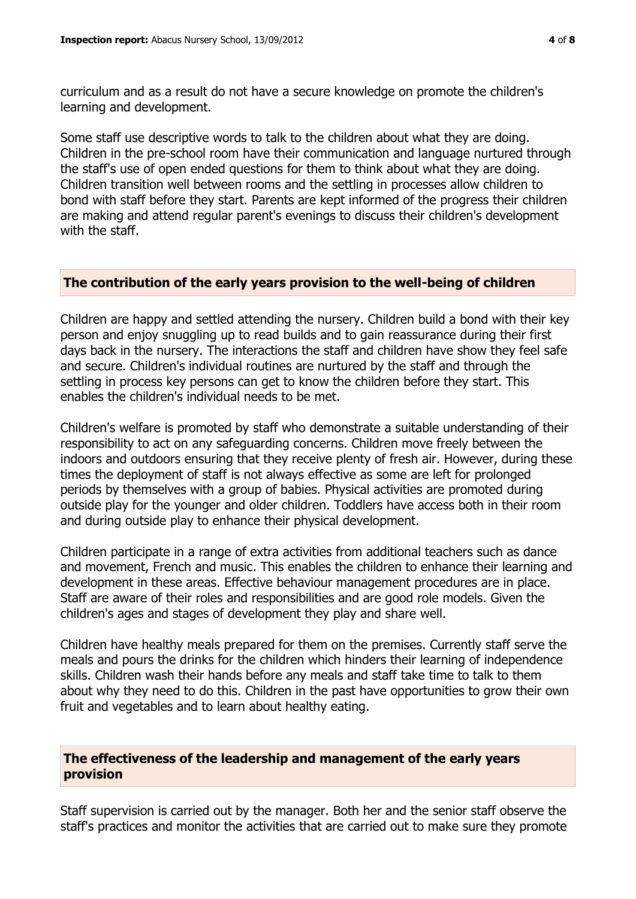curriculum and as a result do not have a secure knowledge on promote the children's learning and development.

Some staff use descriptive words to talk to the children about what they are doing. Children in the pre-school room have their communication and language nurtured through the staff's use of open ended questions for them to think about what they are doing. Children transition well between rooms and the settling in processes allow children to bond with staff before they start. Parents are kept informed of the progress their children are making and attend regular parent's evenings to discuss their children's development with the staff.

#### **The contribution of the early years provision to the well-being of children**

Children are happy and settled attending the nursery. Children build a bond with their key person and enjoy snuggling up to read builds and to gain reassurance during their first days back in the nursery. The interactions the staff and children have show they feel safe and secure. Children's individual routines are nurtured by the staff and through the settling in process key persons can get to know the children before they start. This enables the children's individual needs to be met.

Children's welfare is promoted by staff who demonstrate a suitable understanding of their responsibility to act on any safeguarding concerns. Children move freely between the indoors and outdoors ensuring that they receive plenty of fresh air. However, during these times the deployment of staff is not always effective as some are left for prolonged periods by themselves with a group of babies. Physical activities are promoted during outside play for the younger and older children. Toddlers have access both in their room and during outside play to enhance their physical development.

Children participate in a range of extra activities from additional teachers such as dance and movement, French and music. This enables the children to enhance their learning and development in these areas. Effective behaviour management procedures are in place. Staff are aware of their roles and responsibilities and are good role models. Given the children's ages and stages of development they play and share well.

Children have healthy meals prepared for them on the premises. Currently staff serve the meals and pours the drinks for the children which hinders their learning of independence skills. Children wash their hands before any meals and staff take time to talk to them about why they need to do this. Children in the past have opportunities to grow their own fruit and vegetables and to learn about healthy eating.

#### **The effectiveness of the leadership and management of the early years provision**

Staff supervision is carried out by the manager. Both her and the senior staff observe the staff's practices and monitor the activities that are carried out to make sure they promote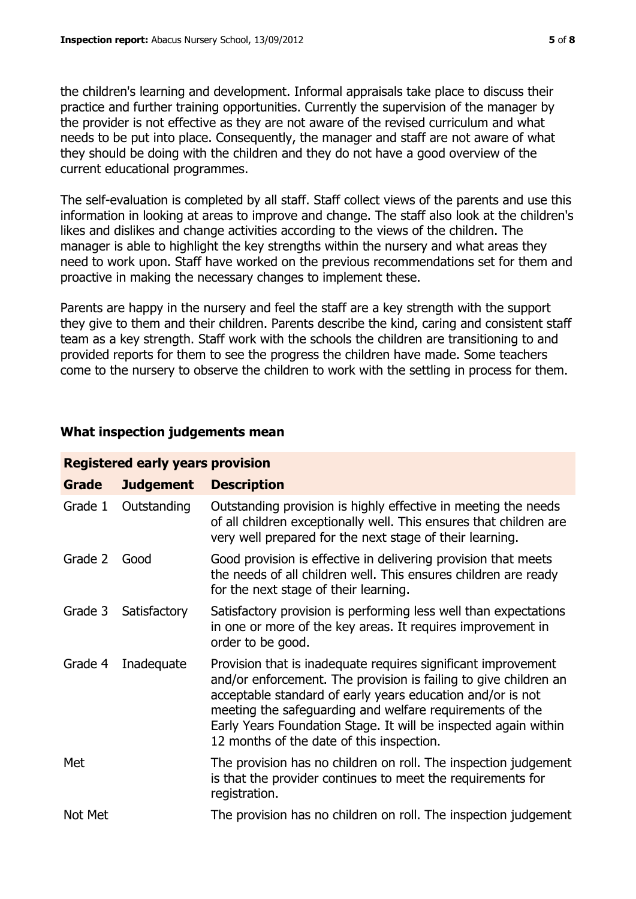the children's learning and development. Informal appraisals take place to discuss their practice and further training opportunities. Currently the supervision of the manager by the provider is not effective as they are not aware of the revised curriculum and what needs to be put into place. Consequently, the manager and staff are not aware of what they should be doing with the children and they do not have a good overview of the current educational programmes.

The self-evaluation is completed by all staff. Staff collect views of the parents and use this information in looking at areas to improve and change. The staff also look at the children's likes and dislikes and change activities according to the views of the children. The manager is able to highlight the key strengths within the nursery and what areas they need to work upon. Staff have worked on the previous recommendations set for them and proactive in making the necessary changes to implement these.

Parents are happy in the nursery and feel the staff are a key strength with the support they give to them and their children. Parents describe the kind, caring and consistent staff team as a key strength. Staff work with the schools the children are transitioning to and provided reports for them to see the progress the children have made. Some teachers come to the nursery to observe the children to work with the settling in process for them.

## **What inspection judgements mean**

| <b>Registered early years provision</b> |                  |                                                                                                                                                                                                                                                                                                                                                                             |  |  |
|-----------------------------------------|------------------|-----------------------------------------------------------------------------------------------------------------------------------------------------------------------------------------------------------------------------------------------------------------------------------------------------------------------------------------------------------------------------|--|--|
| Grade                                   | <b>Judgement</b> | <b>Description</b>                                                                                                                                                                                                                                                                                                                                                          |  |  |
| Grade 1                                 | Outstanding      | Outstanding provision is highly effective in meeting the needs<br>of all children exceptionally well. This ensures that children are<br>very well prepared for the next stage of their learning.                                                                                                                                                                            |  |  |
| Grade 2                                 | Good             | Good provision is effective in delivering provision that meets<br>the needs of all children well. This ensures children are ready<br>for the next stage of their learning.                                                                                                                                                                                                  |  |  |
| Grade 3                                 | Satisfactory     | Satisfactory provision is performing less well than expectations<br>in one or more of the key areas. It requires improvement in<br>order to be good.                                                                                                                                                                                                                        |  |  |
| Grade 4                                 | Inadequate       | Provision that is inadequate requires significant improvement<br>and/or enforcement. The provision is failing to give children an<br>acceptable standard of early years education and/or is not<br>meeting the safeguarding and welfare requirements of the<br>Early Years Foundation Stage. It will be inspected again within<br>12 months of the date of this inspection. |  |  |
| Met                                     |                  | The provision has no children on roll. The inspection judgement<br>is that the provider continues to meet the requirements for<br>registration.                                                                                                                                                                                                                             |  |  |
| Not Met                                 |                  | The provision has no children on roll. The inspection judgement                                                                                                                                                                                                                                                                                                             |  |  |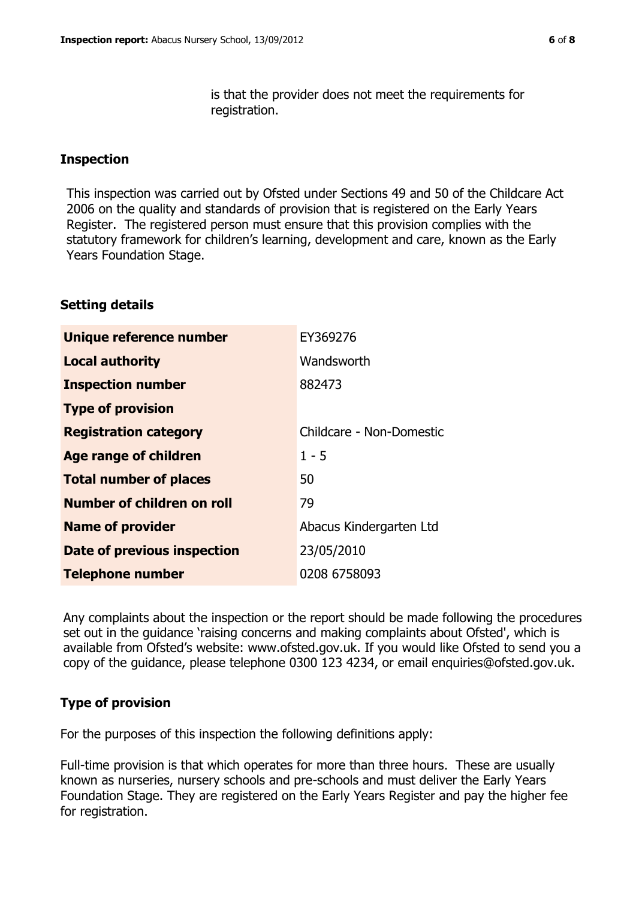is that the provider does not meet the requirements for registration.

#### **Inspection**

This inspection was carried out by Ofsted under Sections 49 and 50 of the Childcare Act 2006 on the quality and standards of provision that is registered on the Early Years Register. The registered person must ensure that this provision complies with the statutory framework for children's learning, development and care, known as the Early Years Foundation Stage.

#### **Setting details**

| Unique reference number       | EY369276                 |
|-------------------------------|--------------------------|
| <b>Local authority</b>        | Wandsworth               |
| <b>Inspection number</b>      | 882473                   |
| <b>Type of provision</b>      |                          |
| <b>Registration category</b>  | Childcare - Non-Domestic |
| <b>Age range of children</b>  | $1 - 5$                  |
| <b>Total number of places</b> | 50                       |
| Number of children on roll    | 79                       |
| <b>Name of provider</b>       | Abacus Kindergarten Ltd  |
| Date of previous inspection   | 23/05/2010               |
| <b>Telephone number</b>       | 0208 6758093             |

Any complaints about the inspection or the report should be made following the procedures set out in the guidance 'raising concerns and making complaints about Ofsted', which is available from Ofsted's website: www.ofsted.gov.uk. If you would like Ofsted to send you a copy of the guidance, please telephone 0300 123 4234, or email enquiries@ofsted.gov.uk.

## **Type of provision**

For the purposes of this inspection the following definitions apply:

Full-time provision is that which operates for more than three hours. These are usually known as nurseries, nursery schools and pre-schools and must deliver the Early Years Foundation Stage. They are registered on the Early Years Register and pay the higher fee for registration.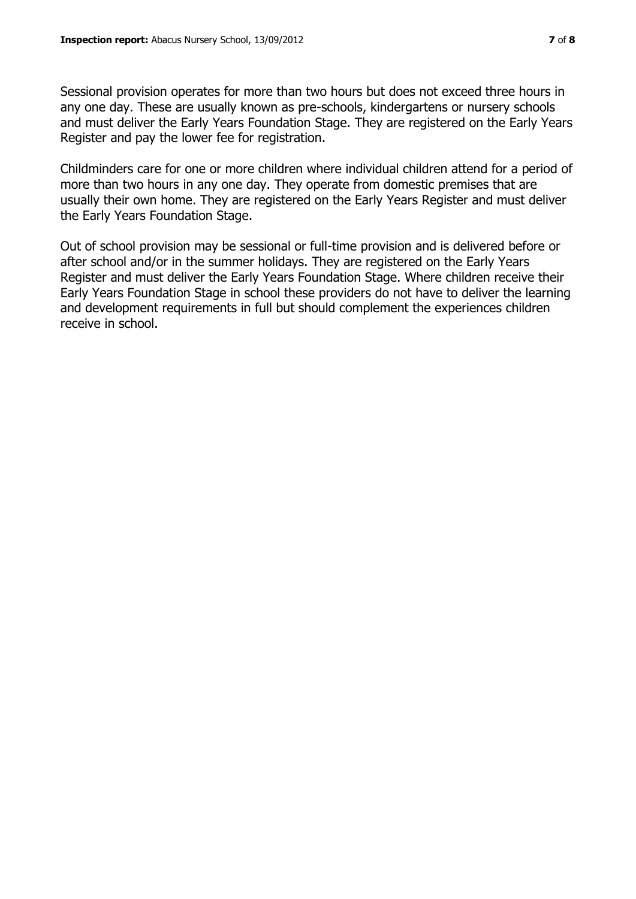Sessional provision operates for more than two hours but does not exceed three hours in any one day. These are usually known as pre-schools, kindergartens or nursery schools and must deliver the Early Years Foundation Stage. They are registered on the Early Years Register and pay the lower fee for registration.

Childminders care for one or more children where individual children attend for a period of more than two hours in any one day. They operate from domestic premises that are usually their own home. They are registered on the Early Years Register and must deliver the Early Years Foundation Stage.

Out of school provision may be sessional or full-time provision and is delivered before or after school and/or in the summer holidays. They are registered on the Early Years Register and must deliver the Early Years Foundation Stage. Where children receive their Early Years Foundation Stage in school these providers do not have to deliver the learning and development requirements in full but should complement the experiences children receive in school.